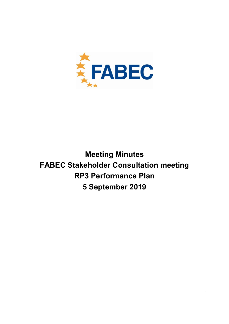

# Meeting Minutes FABEC Stakeholder Consultation meeting RP3 Performance Plan 5 September 2019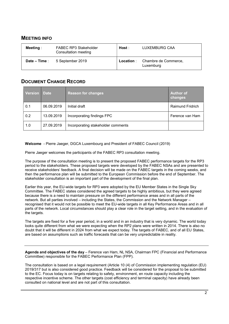### MEETING INFO

| <b>Meeting</b> : | FABEC RP3 Stakeholder<br>Consultation meeting | Host :    | LUXEMBURG CAA                     |
|------------------|-----------------------------------------------|-----------|-----------------------------------|
| Date – Time :    | 5 September 2019                              | Location: | Chambre de Commerce,<br>Luxemburg |

## DOCUMENT CHANGE RECORD

| <b>Version</b> | <b>■</b> Date | <b>Reason for changes</b>          | <b>Author of</b><br><b>changes</b> |
|----------------|---------------|------------------------------------|------------------------------------|
| 0.1            | 06.09.2019    | Initial draft                      | <b>Raimund Fridrich</b>            |
| 0.2            | 13.09.2019    | Incorporating findings FPC         | Ference van Ham                    |
| 1.0            | 27.09.2019    | Incorporating stakeholder comments |                                    |

Welcome - Pierre Jaeger, DGCA Luxembourg and President of FABEC Council (2019)

Pierre Jaeger welcomes the participants of the FABEC RP3 consultation meeting.

The purpose of the consultation meeting is to present the proposed FABEC performance targets for the RP3 period to the stakeholders. These proposed targets were developed by the FABEC NSAs and are presented to receive stakeholders' feedback. A final decision will be made on the FABEC targets in the coming weeks, and then the performance plan will be submitted to the European Commission before the end of September. The stakeholder consultation is an important part of the development of the final plan.

Earlier this year, the EU-wide targets for RP3 were adopted by the EU Member States in the Single Sky Committee. The FABEC states considered the agreed targets to be highly ambitious, but they were agreed because there is a need to maintain pressure on the different performance areas and in all parts of the network. But all parties involved – including the States, the Commission and the Network Manager – recognised that it would not be possible to meet the EU-wide targets in all Key Performance Areas and in all parts of the network. Local circumstances should play a clear role in the target setting, and in the evaluation of the targets.

The targets are fixed for a five year period, in a world and in an industry that is very dynamic. The world today looks quite different from what we were expecting when the RP2 plans were written in 2014. There is also no doubt that it will be different in 2024 from what we expect today. The targets of FABEC, and of all EU States, are based on assumptions such as traffic forecasts that can be very unpredictable in reality.

Agenda and objectives of the day – Ference van Ham, NL NSA, Chairman FPC (Financial and Performance Committee) responsible for the FABEC Performance Plan (FPP).

The consultation is based on a legal requirement (Article 10 (4) of Commission implementing regulation (EU) 2019/317 but is also considered good practice. Feedback will be considered for the proposal to be submitted to the EC. Focus today is on targets relating to safety, environment, en route capacity including the respective incentive scheme. The other targets (cost efficiency and terminal capacity) have already been consulted on national level and are not part of this consultation.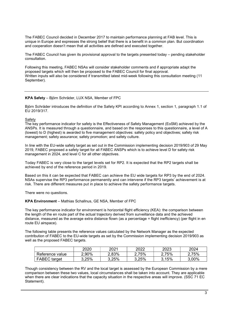The FABEC Council decided in December 2017 to maintain performance planning at FAB level. This is unique in Europe and expresses the strong belief that there is a benefit in a common plan. But coordination and cooperation doesn't mean that all activities are defined and executed together.

The FABEC Council has given its provisional approval to the targets presented today – pending stakeholder consultation.

Following this meeting, FABEC NSAs will consider stakeholder comments and if appropriate adapt the proposed targets which will then be proposed to the FABEC Council for final approval. Written inputs will also be considered if transmitted latest mid-week following this consultation meeting (11 September).

#### KPA Safety – Björn Schräder, LUX NSA, Member of FPC

Björn Schräder introduces the definition of the Safety KPI according to Annex 1, section 1, paragraph 1.1 of EU 2019/317.

Safety

The key performance indicator for safety is the Effectiveness of Safety Management (EoSM) achieved by the ANSPs. It is measured through a questionnaire, and based on the responses to this questionnaire, a level of A (lowest) to D (highest) is awarded to five management objectives: safety policy and objectives; safety risk management; safety assurance; safety promotion; and safety culture.

In line with the EU-wide safety target as set out in the Commission implementing decision 2019/903 of 29 May 2019, FABEC proposed a safety target for all FABEC ANSPs which is to achieve level D for safety risk management in 2024, and level C for all other objectives.

Today FABEC is very close to the target levels set for RP2. It is expected that the RP2 targets shall be achieved by end of the reference period in 2019.

Based on this it can be expected that FABEC can achieve the EU wide targets for RP3 by the end of 2024. NSAs supervise the RP3 performance permanently and can intervene if the RP3 targets' achievement is at risk. There are different measures put in place to achieve the safety performance targets.

There were no questions.

#### KPA Environment – Mathias Schallnus, GE NSA, Member of FPC

The key performance indicator for environment is horizontal flight efficiency (KEA): the comparison between the length of the en route part of the actual trajectory derived from surveillance data and the achieved distance, measured as the average extra distance flown (as a percentage = flight inefficiency) (per flight in en route EU airspace).

The following table presents the reference values calculated by the Network Manager as the expected contribution of FABEC to the EU-wide targets as set by the Commission implementing decision 2019/903 as well as the proposed FABEC targets.

|                     | 2020  | 2021  | 2022  | 2023  | 2024  |
|---------------------|-------|-------|-------|-------|-------|
| Reference value     | 2.90% | 2,83% | 2.75% | 2,75% | 75%   |
| <b>FABEC</b> target | 3,25% | 3,25% | 3.25% | 3.15% | 3,00% |

Though consistency between the RV and the local target is assessed by the European Commission by a mere comparison between these two values, local circumstances shall be taken into account. They are applicable when there are clear indications that the capacity situation in the respective areas will improve. (SSC 71 EC Statement).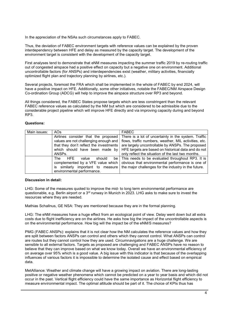In the appreciation of the NSAs such circumstances apply to FABEC.

Thus, the deviation of FABEC environment targets with reference values can be explained by the proven interdependency between HFE and delay as measured by the capacity target. The development of the environment target is consistent with the development of the capacity target.

First analyses tend to demonstrate that eNM measures impacting the summer traffic 2019 by re-routing traffic out of congested airspace had a positive effect on capacity but a negative one on environment. Additional uncontrollable factors (for ANSPs) and interdependencies exist (weather, military activities, financially optimized flight plan and trajectory planning by airlines, etc.).

Several projects, foremost the FRA which shall be implemented in the whole of FABEC by end 2024, will have a positive impact on HFE. Additionally, some other initiatives, notable the FABEC/NM Airspace Design Co-ordination Group (ADCG) will help to improve the airspace structure over RP3 and beyond.

All things considered, the FABEC States propose targets which are less constringent than the relevant FABEC reference values as calculated by the NM but which are considered to be admissible due to the considerable project pipeline which will improve HFE directly and via improving capacity during and beyond RP3.

#### Questions:

| Main issues: | AO <sub>s</sub>                             | <b>FABEC</b>                                          |
|--------------|---------------------------------------------|-------------------------------------------------------|
|              | Airlines consider that the proposed         | There is a lot of uncertainty in the system. Traffic  |
|              | values are not challenging enough and       | flows, traffic numbers, weather, MIL activities, etc. |
|              | that they don't reflect the investments     | are largely uncontrollable by ANSPs. The proposed     |
|              | which should have been made by              | HFE targets are based on historical data and do not   |
|              | ANSP <sub>s</sub>                           | only reflect the situation of the last two months.    |
|              | <b>HFF</b><br>should<br><b>The</b><br>value | be   This needs to be evaluated throughout RP3. It is |
|              | complemented by a VFE value which           | obvious that environmental performance is one of      |
|              | similarly important to measure<br>IS        | the major challenges for the industry in the future.  |
|              | environmental performance.                  |                                                       |

#### Discussion in detail:

LHG: Some of the measures quoted to improve the mid- to long term environmental performance are questionable, e.g. Berlin airport or a  $3<sup>rd</sup>$  runway in Munich in 2023. LHG asks to make sure to invest the resources where they are needed.

Mathias Schallnus, GE NSA: They are mentioned because they are in the formal planning.

LHG: The eNM measures have a huge effect from an ecological point of view. Delay went down but all extra costs due to flight inefficiency are on the airlines. He asks how big the impact of the uncontrollable aspects is on the environmental performance. How big will the impact be of the eNM/S measures?

PMG (FABEC ANSPs): explains that it is not clear how the NM calculates the reference values and how they are split between factors ANSPs can control and others which they cannot control. What ANSPs can control are routes but they cannot control how they are used. Circumnavigations are a huge challenge. We are sensible to all external factors. Targets as proposed are challenging and FABEC ANSPs have no reason to believe that they can improve based on what we know today. Overall we have an environmental efficiency of on average over 95% which is a good value. A big issue with this indicator is that because of the overlapping influences of various factors it is impossible to determine the isolated cause and effect based on empirical data.

MetAlliance: Weather and climate change will have a growing impact on aviation. There are long-lasting positive or negative weather phenomena which cannot be predicted on a year to year basis and which did not occur in the past. Vertical flight efficiency could have the same importance as Horizontal flight efficiency to measure environmental impact. The optimal altitude should be part of it. The choice of KPIs thus has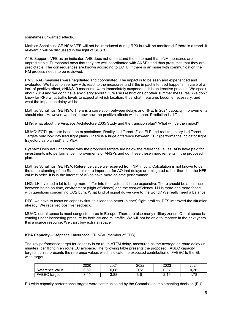sometimes unwanted effects.

Mathias Schallnus, GE NSA: VFE will not be introduced during RP3 but will be monitored if there is a trend. If relevant it will be discussed in the light of SES 3.

A4E: Supports VFE as an indicator. A4E does not understand the statement that eNM measures are unpredictable. Eurocontrol says that they are well coordinated with ANSPs and thus presumes that they are predictable. The consequences are known according to ECTL. If there is an issue with communication the NM process needs to be reviewed.

PMG: RAD measures were negotiated and coordinated. The impact is to be seen and experienced and evaluated. We have to see how AUs react to the measures and if the impact intended happens. In case of a lack of positive effect, eNM/S19 measures were immediately suspended. It is an iterative process. We speak about 2019 and we don't have any clarity about future RAD restrictions or other summer measures. We don't know for RP3 what traffic levels to expect at which location, thus what measures become necessary, and what the impact on delay will be.

Mathias Schallnus, GE NSA: There is a correlation between delays and HFE. In 2021 capacity improvements should start. However, we don't know how the positive effects will happen. Prediction is difficult.

LHG: what about the Airspace Architecture 2035 Study and the transition plan? What will be the impact?

MUAC: ECTL predicts based on expectations. Reality is different. Filed FLP and real trajectory is different. Targets only look into filed flight plans. There is a huge difference between KEP (performance indicator flight trajectory as planned) and KEA.

Ryanair: Does not understand why the proposed targets are below the reference values. AOs have paid for investments into performance improvements of ANSPs and don't see these improvements in the proposed plan.

Mathias Schallnus; GE NSA: Reference value we received from NM in July. Calculation is not known to us. In the understanding of the States it is more important for AO that delays are mitigated rather than that the HFE value is strict. It is in the interest of AO to have more on time performance.

LHG: LH invested a lot to bring more buffer into the system. It is too expensive. There should be a balance between being on time, environment (flight efficiency) and the cost-efficiency. LH is more and more faced with questions concerning CO2 burn. What kind of signal do we give to the world? We really need a balance.

DFS: we have to focus on capacity first, this leads to better (higher) flight profiles. DFS improved the situation already. We received positive feedback.

MUAC: our airspace is most congested area in Europe. There are also many military zones. Our airspace is coming under increasing pressure by both civ and mil traffic. We will not be able to improve in the next years. It is a scarce resource. We can't buy extra airspace.

KPA Capacity – Stéphane Lafourcade, FR NSA (member of FPC)

The key performance target for capacity is en route ATFM delay, measured as the average en route delay (in minutes) per flight in en route EU airspace. The following table presents the proposed FABEC capacity targets. It also presents the reference values which indicate the expected contribution of FABEC to the EU wide target.

|                     | 2020 | 2021 | 2022      | 2023        | 2024    |
|---------------------|------|------|-----------|-------------|---------|
| Reference value     | ,69  | 0.68 | 51<br>∪.∪ | ດ ລອ<br>v.v | 0.36    |
| <b>FABEC</b> target | .45  | 3,88 | 3.61      | .19<br>⌒    | 70<br>. |

EU wide capacity performance targets were communicated by the Commission implementing decision (EU)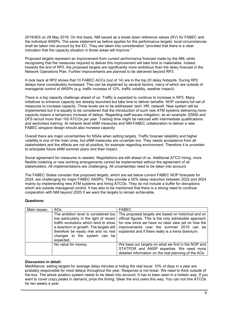2019/903 on 29 May 2019. On this basis, NM issued as a break down reference values (RV) for FABEC and the individual ANSPs. The same statement as before applies for the performance targets: local circumstances shall be taken into account by the EC. They are taken into consideration "provided that there is a clear indication that the capacity situation in those areas will improve."

Proposed targets represent an improvement from current performance forecast made by the NM, while recognising that the measures required to deliver this improvement will take time to materialise. Indeed, towards the end of RP3, the proposed targets are significantly more ambitious than the delay forecast in the Network Operations Plan. Further improvements are planned to be delivered beyond RP3.

A look back at RP2 shows that 10 FABEC ACCs (out of 14) are in the top 20 delay hotspots. During RP2 delays have considerably increased. This can be explained by several factors, many of which are outside of managerial control of ANSPs (e.g. traffic increase of 12%, traffic volatility, weather impact).

There is a big capacity challenge ahead of us. Traffic is expected to continue to increase in RP3. Many initiatives to enhance capacity are already launched but take time to deliver benefits. NOP contains full set of measures to increase capacity. Three levels are to be addressed: tech, HR, network. New system will be implemented but it is equally to be considered that the introduction of such new ATM systems delivering more capacity means a temporary increase of delays. Regarding staff issues mitigation, as an example: DSNA and DFS recruit more than 100 ATCOs per year. Training time might be reduced with intermediate qualifications and sectorless training. At network level eNM measures and NM-FABEC collaboration to deliver a new FABEC airspace design should also increase capacity.

Overall there are major uncertainties for NSAs when setting targets. Traffic forecast reliability and higher volatility is one of the main ones, but eNM measures are uncertain too. They needs acceptance from all stakeholders and the effects are not all positive, for example regarding environment. Therefore it is uncertain to anticipate future eNM summer plans and their impact.

Social agreement for measures is needed. Negotiations are still ahead of us. Additional ATCO hiring, more flexible rostering or new working arrangements cannot be implemented without the agreement of all stakeholders. All implementations are challenging. All uncertainties need to be taken into account.

The FABEC States consider that proposed targets, which are set below current FABEC NOP forecasts for 2024, are challenging for major FABEC ANSPs. They provide a 50% delay reduction between 2022 and 2024 mainly by implementing new ATM systems and hiring ATCOs. They do not include a buffer for disruptions which are outside managerial control. It has also to be mentioned that there is a strong need to continue cooperation with NM beyond 2020 if we want the targets to remain achievable.

#### Questions:

| Main issues: | AOs                                                                                                                                                                                                                                                    | <b>FABEC</b>                                                                                                                                                                                                                                                          |
|--------------|--------------------------------------------------------------------------------------------------------------------------------------------------------------------------------------------------------------------------------------------------------|-----------------------------------------------------------------------------------------------------------------------------------------------------------------------------------------------------------------------------------------------------------------------|
|              | The ambition level is considered too<br>low particularly in the light of recent<br>traffic evolutions which tend to show<br>a downturn in growth. The targets will<br>therefore be easily met and no real<br>changes to the system can be<br>expected. | The proposed targets are based on historical and on<br>official figures. This is the only admissible approach<br>for now since we have no clear view yet on how the<br>improvements over the summer 2019 can be<br>explained and if there really is a trend downturn. |
|              | No value for money.                                                                                                                                                                                                                                    | We base our targets on what we find in the NOP and<br>STATFOR and ANSP expertise. We need more<br>detailed information on the real planning of the AOs                                                                                                                |

#### Discussion in detail:

MetAlliance: setting targets for average delay minutes is hiding the real issue: 10% of days in a year are probably responsible for most delays throughout the year. Response is not linear. We need to think outside of the box. The whole aviation system needs to be taken into account. It has to been seen in a holistic way. If you want to cover crazy peaks in demand, price the timing. Steer the end users this way. You can not hire ATCOs for ten weeks a year.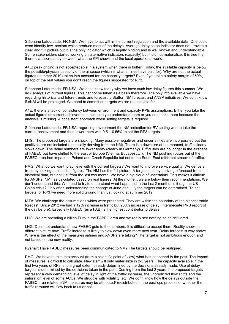Stéphane Lafourcade, FR NSA: We have to act within the current regulation and the available data. One could even identify few sectors which produce most of the delays. Average delay as an indicator does not provide a clear and full picture but it is the only indicator which is legally binding and is well known and understandable. Some stakeholders started working on alternative indicators (capacity) but it did not materialize. It is true that there is a discrepancy between what the KPI shows and the local operational world.

A4E: peak pricing is not acceptedable in a system when there is buffer. Today, the available capacity is below the possible/physical capacity of the airspace (which is what airlines have paid for). Why are not the actual figures (summer 2019) taken into account for the capacity targets? Even if you take a safety margin of 50%, on top of the real values you don't reach the figures suggested for RP3.

Stéphane Lafourcade, FR NSA: We don't know today why we have such low delay figures this summer. We lack analysis of current figures. This cannot be taken as a basis therefore. The only info available we have regarding historical and future trends and forecast is Statfor, NM forecast and ANSP initiatives. We don't know if eNM will be prolonged. We need to commit on targets we are responsible for.

A4E: there is a lack of consistency between environment and capacity KPIs assumptions. Either you take the actual figures or current achievements because you understand them or you don't take them because the analysis is missing. A consistent approach when setting targets is required.

Stéphane Lafourcade, FR NSA: regarding environment the NM indication for RV setting was to take the current achievement and then lower them with 0.5 – 0.55% to set the RP3 targets.

LHG: The proposed targets are shocking. Many possible negatives and uncertainties are incorporated but the positives are not included (especially deriving from the NM). There is a downturn at the moment, traffic clearly slows down. The delay numbers are lower today (clearly in Germany). Difficulties are no longer in the airspace of FABEC but have shifted to the east of Europe (Vienna, Budapest,…). The NM pushing routes out of the FABEC area had impact on Poland and Czech Republic but not to the South East (different stream of traffic).

PMG: What do we want to achieve with the current targets? We want to improve service quality. We derive a trend by looking at historical figures. The NM has the full picture. A target is set by deriving a forecast from historical data, but not just from the last two month. We have a big cloud of uncertainty. This makes it difficult for ANSPs. NM has calculated based on real figures. At the moment we are below their recommendations. We don't understand this. We need to try to understand what happened in the last 2 months. Is it e.g. the US-China crisis? Only after understanding the change of June and July the targets can be determined. To set targets for RP3 we need more solid ground than just looking at summer 2019.

IATA: We challenge the assumptions which were presented. They are within the boundary of the highest traffic forecast. Since 2012 we had a 12% increase in traffic but 288% increase of delay (intermediate PRB report of the day before). Especially FABEC (as a FAB) is the highest contributor to delays.

LHG: We are spending a billion Euro in the FABEC area and we really see nothing being delivered.

LHG: Does not understand how FABEC gets to the numbers. It is difficult to accept them. Reality shows a different picture now. Traffic increase is likely to slow down even more next year. Delay forecast is way above. Where is the effect of the measures airlines and ANSPs are taking? The target is not ambitious enough and not based on the new reality.

Ryanair: Have FABEC measures been communicated to NM? The targets should be realigned.

PMG: We have to take into account (from a scientific point of view) what has happened in the past. The impact of measures is difficult to calculate. New staff will only materialize in 2-3 years. The capacity available in the first two years of RP3 is to a great extent already determined by the decisions already made. Use of delay targets is determined by the decisions taken in the past. Coming from the last 2 years, the proposed targets represent a very demanding level of delay in light of the traffic increase, the unpredicted flow shifts and the saturation level of some ACCs. We struggle with volatility, etc. We don't know how the delays outside the FABEC area related eNM measures may be attributed/ redistributed in the post-ops process or whether the traffic rerouted will flow back to us or not.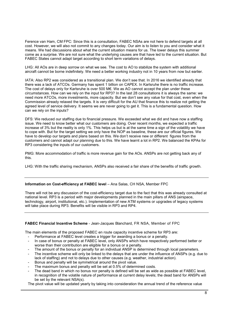Ference van Ham, CM FPC: Since this is a consultation, FABEC NSAs are not here to defend targets at all cost. However, we will also not commit to any changes today. Our aim is to listen to you and consider what it means. We had discussions about what the current situation means for us. The lower delays this summer come as a surprise. We are not sure what the underlying causes are that have led to the current situation. But FABEC States cannot adapt target according to short term variations of delays.

LHG: All AOs are in deep sorrow on what we see. The cost to AO to stabilize the system with additional aircraft cannot be borne indefinitely. We need a better working industry not in 10 years from now but earlier.

IATA: Also RP2 was considered as a transitional plan. We don't see that. In 2016 we identified already that there was a lack of ATCOs. Germany has spent 1 billion on CAPEX. In Karlsruhe there is no traffic increase. The cost of delays only for Karlsruhe is over 500 M€. We as AO cannot accept the plan under these circumstances. How can we rely on the input for RP3? In the last 28 consultations it is always the same: we need more ATCOs, more investments, more capacity. But we don't see any value for that cost, even when the Commission already relaxed the targets. It is very difficult for the AU that finance this to realize not getting the agreed level of service delivery. It seems we are never going to get it. This is a fundamental question. How can we rely on the inputs?

DFS: We reduced our staffing due to financial pressure. We exceeded what we did and have now a staffing issue. We need to know better what our customers are doing. Over recent months, we expected a traffic increase of 3% but the reality is only 1%. This helps us but is at the same time a sign of the volatility we have to cope with. But for the target setting we only have the NOP as baseline, these are our official figures. We have to develop our targets and plans based on this. We don't receive new or different figures from the customers and cannot adapt our planning due to this. We have learnt a lot in RP2. We balanced the KPAs for RP3 considering the inputs of our customers.

PMG: More accommodation of traffic is more revenue gain for the AOs. ANSPs are not getting back any of this.

LHG: With the traffic sharing mechanism, ANSPs also received a fair share of the benefits of traffic growth.

#### Information on Cost-efficiency at FABEC level – Ana Salas, CH NSA, Member FPC

There will not be any discussion of the cost-efficiency target due to the fact that this was already consulted at national level. RP3 is a period with major developments planned in the main pillars of ANS (airspace, technology, airport, institutional, etc.). Implementation of new ATM systems or upgrades of legacy systems will take place during RP3. Benefits will be visible in RP3 and RP4.

#### FABEC Financial Incentive Scheme - Jean-Jacques Blanchard, FR NSA, Member of FPC

The main elements of the proposed FABEC en route capacity incentive scheme for RP3 are:

- Performance at FABEC level creates a trigger for awarding a bonus or a penalty.
- In case of bonus or penalty at FABEC level, only ANSPs which have respectively performed better or worse than their contribution are eligible for a bonus or a penalty.
- The amount of the bonus or penalty for an individual ANSP is determined through local parameters.
- The incentive scheme will only be linked to the delays that are under the influence of ANSPs (e.g. due to lack of staffing) and not to delays due to other causes (e.g. weather, industrial action).
- Bonus and penalty will be symmetrical around the pivot value.
- The maximum bonus and penalty will be set at 0.5% of determined costs.
- The dead band in which no bonus nor penalty is defined will be set as wide as possible at FABEC level, in recognition of the volatile nature of performance at current delay levels; the dead band for ANSPs will be set by the relevant NSA(s).

The pivot value will be updated yearly by taking into consideration the annual trend of the reference value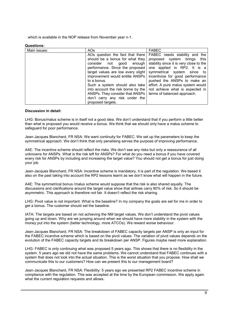which is available in the NOP release from November year n-1.

#### Questions:

| Main issues: | AOs                                | <b>FABEC</b>                            |
|--------------|------------------------------------|-----------------------------------------|
|              | AOs question the fact that there   | FABEC needs stability and the           |
|              | should be a bonus for what they    | proposed system brings this             |
|              | consider not<br>good enough        | stability since it is very close to the |
|              | performance. Since the proposed    | one applied in RP2. It is a             |
|              | target values are low every slight | symmetrical system since to             |
|              | improvement would entitle ANSPs    | incentivize for good performance        |
|              | to a bonus.                        | pushed the ANSPs to make an             |
|              | Such a system should also take     | effort. A pure malus system would       |
|              | into account the risk borne by the | not achieve what is expected in         |
|              | ANSPs. They consider that ANSPs    | terms of balanced approach.             |
|              | don't carry any risk under the     |                                         |
|              | proposed targets.                  |                                         |

#### Discussion in detail:

LHG: Bonus/malus scheme is in itself not a good idea. We don't understand that if you perform a little better than what is proposed you would receive a bonus. We think that we should only have a malus scheme to safeguard for poor performance.

Jean-Jacques Blanchard, FR NSA: We want continuity for FABEC. We set up the parameters to keep the symmetrical approach. We don't think that only penalising serves the purpose of improving performance.

A4E: The incentive scheme should reflect the risks. We don't see any risks but only a reassurance of all unknowns for ANSPs. What is the risk left for ANSPs? For what do you need a bonus if you have covered every risk for ANSPs by including and increasing the target value? You should not get a bonus for just doing your job.

Jean-Jacques Blanchard, FR NSA: Incentive scheme is mandatory, it is part of the regulation. We based it also on the past taking into account the RP2 lessons learnt as we don't know what will happen in the future.

A4E: The symmetrical bonus /malus scheme would suppose that the risk is also shared equally. The discussions and clarifications around the target value show that airlines carry 80% of risk. So it should be asymmetric. This approach is therefore not fair. It doesn't reflect the risk sharing.

LHG: Pivot value is not important. What is the baseline? In my company the goals are set for me in order to get a bonus. The customer should set the baseline.

IATA: The targets are based on not achieving the NM target values. We don't understand the pivot values going up and down. Why are we jumping around when we should have more stability in the system with the money put into the system (better technology, more ATCOs). We reward worse behaviour.

Jean-Jacques Blanchard, FR NSA: The breakdown of FABEC capacity targets per ANSP is only an input for the FABEC incentive scheme which is based on the pivot values. The variation of pivot values depends on the evolution of the FABEC capacity targets and its breakdown per ANSP. Figures maybe need more explanation.

LHG: FABEC is only continuing what was proposed 5 years ago. This shows that there is no flexibility in the system. 5 years ago we did not have the same problems. We cannot understand that FABEC continues with a system that does not look into the actual situation. This is the worst situation that you propose. How shall we communicate this to our customers? How can we present this to our management board?

Jean-Jacques Blanchard, FR NSA: Flexibility: 5 years ago we presented RP2 FABEC incentive scheme in compliance with the regulation. This was accepted at the time by the European commission. We apply again what the current regulation requests and allows.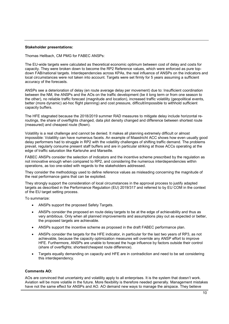#### Stakeholder presentations:

Thomas Hellbach, CM PMG for FABEC ANSPs:

The EU-wide targets were calculated as theoretical economic optimum between cost of delay and costs for capacity. They were broken down to become the RP2 Reference values, which were enforced as pure topdown FAB/national targets. Interdependencies across KPAs, the real influence of ANSPs on the indicators and local circumstances were not taken into account. Targets were set firmly for 5 years assuming a sufficient accuracy of the forecasts.

ANSPs see a deterioration of delay (en route average delay per movement) due to: Insufficient coordination between the NM, the ANSPs and the AOs on the traffic development (be it long term or from one season to the other), no reliable traffic forecast (magnitude and location), increased traffic volatility (geopolitical events, better (more dynamic) ad-hoc flight planning) and cost pressure, difficult/impossible to withhold sufficient capacity buffers.

The HFE stagnated because the 2018/2019 summer RAD measures to mitigate delay include horizontal reroutings, the share of overflights changed, data plot density changed and difference between shortest route (measured) and cheapest route (flown).

Volatility is a real challenge and cannot be denied. It makes all planning extremely difficult or almost impossible: Volatility can have numerous facets. An example of Maastricht ACC shows how even usually good delay performers had to struggle in RP2 with the volatility challenges of shifting traffic demand. The problems prevail, regularly consume present staff buffers and are in particular striking at those ACCs operating at the edge of traffic saturation like Karlsruhe and Marseille.

FABEC ANSPs consider the selection of indicators and the incentive scheme prescribed by the regulation as not innovative enough when compared to RP2, and considering the numerous interdependencies within operations, as too one-sided with regards to the stakeholders addressed.

They consider the methodology used to define reference values as misleading concerning the magnitude of the real performance gains that can be exploited.

They strongly support the consideration of local circumstances in the approval process to justify adapted targets as described in the Performance Regulation (EU) 2019/317 and referred to by EU COM in the context of the EU target setting process.

To summarize:

- ANSPs support the proposed Safety Targets.
- ANSPs consider the proposed en route delay targets to be at the edge of achievability and thus as very ambitious. Only when all planned improvements and assumptions play out as expected or better, the proposed targets are achievable.
- ANSPs support the incentive scheme as proposed in the draft FABEC performance plan.
- ANSPs consider the targets for the HFE indicator, in particular for the last two years of RP3, as not achievable, because the capacity optimization measures will override any ANSP effort to improve HFE. Furthermore, ANSPs are unable to forecast the huge influence by factors outside their control (share of overflights; shortest/cheapest route difference).
- Targets equally demanding on capacity and HFE are in contradiction and need to be set considering this interdependency.

#### Comments AO:

AOs are convinced that uncertainty and volatility apply to all enterprises. It is the system that doesn't work. Aviation will be more volatile in the future. More flexibility is therefore needed generally. Management mistakes have not the same effect for ANSPs and AO. AO demand new ways to manage the airspace. They believe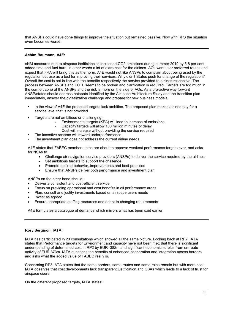that ANSPs could have done things to improve the situation but remained passive. Now with RP3 the situation even becomes worse.

#### Achim Baumann, A4E:

eNM measures due to airspace inefficiencies increased CO2 emissions during summer 2019 by 5.8 per cent, added time and fuel burn, in other words a lot of extra cost for the airlines. AOs want user preferred routes and expect that FRA will bring this as the norm. A4E would not like ANSPs to complain about being used by the regulation but use as a tool for improving their services. Why didn't States push for change of the regulation? Overall the cost is not in line with the benefits respectively the service provided to airlines respective. The process between ANSPs and ECTL seems to be broken and clarification is required. Targets are too much in the comfort zone of the ANSPs and the risk is more on the side of AOs. As a pro-active way forward ANSP/states should address hotspots identified by the Airspace Architecture Study and the transition plan immediately, answer the digitalization challenge and prepare for new business models.

- In the view of A4E the proposed targets lack ambition. The proposed plan makes airlines pay for a service level that is not provided
- Targets are not ambitious or challenging:
	- Environmental targets (KEA) will lead to increase of emissions
	- Capacity targets will allow 100 million minutes of delay
	- Cost will increase without providing the service required
- The incentive scheme will reward underperformance
- The investment plan does not address the current airline needs.

A4E states that FABEC member states are about to approve weakest performance targets ever, and asks for NSAs to

- Challenge air navigation service providers (ANSPs) to deliver the service required by the airlines
- Set ambitious targets to support the challenge
- Promote desired behavior, improvements and best practices
- Ensure that ANSPs deliver both performance and investment plan.

ANSPs on the other hand should:

- Deliver a consistent and cost-efficient service
- Focus on providing operational and cost benefits in all performance areas
- Plan, consult and justify investments based on airspace users needs
- Invest as agreed
- Ensure appropriate staffing resources and adapt to changing requirements

A4E formulates a catalogue of demands which mirrors what has been said earlier.

#### Rory Sergison, IATA:

IATA has participated in 23 consultations which showed all the same picture. Looking back at RP2, IATA states that Performance targets for Environment and capacity have not been met; that there is significant underspending of determined cost in RP2 by EUR -382m and significant economic surplus from en-route activity of EUR 373m. IATA questions the benefits of enhanced cooperation and integration across borders and asks what the added value of FABEC really is.

Concerning RP3 IATA states that the same borders, same routes and same roles remain but with more cost. IATA observes that cost developments lack transparent justification and CBAs which leads to a lack of trust for airspace users.

On the different proposed targets, IATA states: